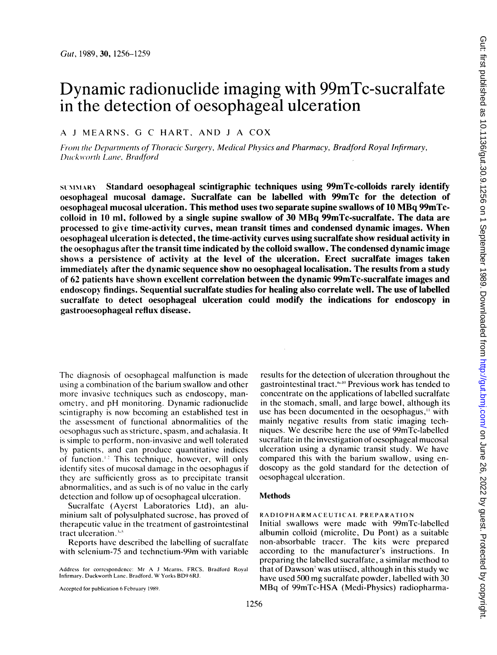# Dynamic radionuclide imaging with 99mTc-sucralfate in the detection of oesophageal ulceration

## A <sup>J</sup> MEARNS, G C HART, AND <sup>J</sup> A COX

From the Departments of Thoracic Surgery, Medical Physics and Pharmacy, Bradford Royal Infirmary, Duckworth Lane, Bradford

SUN NIARY Standard oesophageal scintigraphic techniques using 99mTc-colloids rarely identify oesophageal mucosal damage. Sucralfate can be labelled with 99mTc for the detection of oesophageal mucosal ulceration. This method uses two separate supine swallows of <sup>10</sup> MBq 99mTccolloid in <sup>10</sup> ml, followed by <sup>a</sup> single supine swallow of <sup>30</sup> MBq 99mTc-sucralfate. The data are processed to give time-activity curves, mean transit times and condensed dynamic images. When oesophageal ulceration is detected, the time-activity curves using sucralfate show residual activity in the oesophagus after the transit time indicated by the colloid swallow. The condensed dynamic image shows a persistence of activity at the level of the ulceration. Erect sucralfate images taken immediately after the dynamic sequence show no oesophageal localisation. The results from a study of 62 patients have shown excellent correlation between the dynamic 99mTc-sucralfate images and endoscopy findings. Sequential sucralfate studies for healing also correlate well. The use of labelled sucralfate to detect oesophageal ulceration could modify the indications for endoscopy in gastrooesophageal reflux disease.

The diagnosis of oesophageal malfunction is made using a combination of the barium swallow and other more invasive techniques such as endoscopy, manometrv, and pH monitoring. Dynamic radionuclide scintigraphy is now becoming an established test in the assessment of functional abnormalities of the oesophagus such as stricture, spasm, and achalasia. It is simple to perform, non-invasive and well tolerated by patients, and can produce quantitative indices of function.<sup>12</sup> This technique, however, will only identify sites of mucosal damage in the oesophagus if they are sufficiently gross as to precipitate transit abnormalities, and as such is of no value in the early detection and follow up of oesophageal ulceration.

Sucralfate (Ayerst Laboratories Ltd), an aluminium salt of polysulphated sucrose, has proved of therapeutic value in the treatment of gastrointestinal tract ulceration. $3-5$ 

Reports have described the labelling of sucralfate with selenium-75 and technetium-99m with variable

Accepted for publication 6 February 1989.

results for the detection of ulceration throughout the gastrointestinal tract.<sup>\*-10</sup> Previous work has tended to concentrate on the applications of labelled sucralfate in the stomach, small, and large bowel, although its use has been documented in the oesophagus," with mainly negative results from static imaging techniques. We describe here the use of 99mTc-labelled sucralfate in the investigation of oesophageal mucosal ulceration using <sup>a</sup> dynamic transit study. We have compared this with the barium swallow, using endoscopy as the gold standard for the detection of oesophageal ulceration.

#### Methods

#### RADIOPHARMACEUIICAI PREPARATION

Initial swallows were made with 99mTc-labelled albumin colloid (microlite, Du Pont) as <sup>a</sup> suitable non-absorbable tracer. The kits were prepared according to the manufacturer's instructions. In preparing the labelled sucralfate, a similar method to that of Dawson<sup> $\lambda$ </sup> was utiised, although in this study we have used 500 mg sucralfate powder, labelled with 30 MBq of 99mTc-HSA (Medi-Physics) radiopharma-

Address for correspondence: Mr A <sup>J</sup> Mearns. FRCS. Bradford Royal Infirmary. Ducksworth Lane. Bradford. W Yorks BD9 6RJ.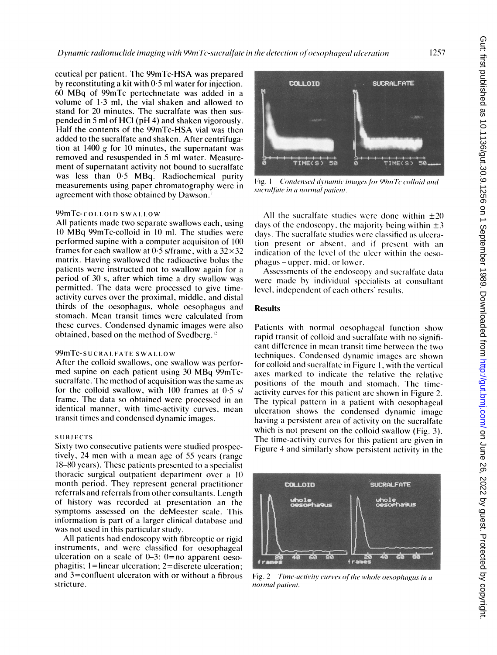Dynamic radionuclide imaging with 99m Tc-sucralfate in the detection of oesophageal ulceration

ceutical per patient. The 99mTc-HSA was prepared by reconstituting a kit with 0-5 ml water for injection. <sup>60</sup> MBq of 99mTc pertechnetate was added in <sup>a</sup> volume of 1-3 ml, the vial shaken and allowed to stand for 20 minutes. The sucralfate was then suspended in 5 ml of HCI (pH 4) and shaken vigorously. Half the contents of the 99mTc-HSA vial was then added to the sucralfate and shaken. After centrifugation at 1400  $g$  for 10 minutes, the supernatant was removed and resuspended in 5 ml water. Measurement of supernatant activity not bound to sucralfate was less than 0.5 MBq. Radiochemical purity measurements using paper chromatography were in agreement with those obtained by Dawson.

#### 99mTc-colloid swallow

All patients made two separate swallows each, using 1( MBq 99mTc-colloid in <sup>10</sup> ml. The studies were performed supine with a computer acquisiton of 100 frames for each swallow at  $0.5$  s/frame, with a  $32 \times 32$ matrix. Having swallowed the radioactive bolus the patients were instructed not to swallow again for a period of 30 s, after which time a dry swallow was permitted. The data were processed to give timeactivity curves over the proximal, middle, and distal thirds of the oesophagus, whole oesophagus and stomach. Mean transit times were calculated from these curves. Condensed dynamic images were also obtained, based on the method of Svedberg.'

### 99mTc-sucralFate swallow

After the colloid swallows, one swallow was performed supine on each patient using <sup>30</sup> MBq 99mTcsucralfate. The method of acquisition was the same as for the colloid swallow, with 100 frames at  $0.5$  s/ frame. The data so obtained were processed in an identical manner, with time-activity curves, mean transit times and condensed dynamic images.

#### **SUBJECTS**

Sixty two consecutive patients were studied prospectively, 24 men with <sup>a</sup> mean age of 55 years (range 18-80 years). These patients presented to a specialist thoracic surgical outpatient department over a 10 month period. They represent general practitioner referrals and referrals from other consultants. Length of history was recorded at presentation an the symptoms assessed on the deMeester scale. This information is part of a larger clinical database and was not used in this particular study.

All patients had endoscopy with fibreoptic or rigid instruments, and were classified for oesophageal ulceration on a scale of  $0-3$ :  $0=$ no apparent oesophagitis; 1=linear ulceration; 2=discrete ulceration; and 3=confluent ulceraton with or without a fibrous stricture.



Fig. 1 Condensed dynamic images for 99mTc colloid and sucralfate in a normal patient.

All the sucralfate studies were done within  $\pm 20$ days of the endoscopy, the majority being within  $\pm 3$ days. The sucralfate studies were classified as ulceration present or absent. and if present with an indication of the level of the ulcer within the oesophagus- upper. mid. or lower.

Assessments of the endoscopy and sucralfate data were made by individual specialists at consultant level, independent of cach others' results.

#### **Results**

Patients with normal oesophageal function show rapid transit of colloid and sucralfate with no significant difference in mean transit time between the two techniques. Condensed dynamic images are shown for colloid and sucralfate in Figure 1, with the vertical axes marked to indicate the relative the relative positions of the mouth and stomach. The timeactivity curves for this patient are shown in Figure 2. The typical pattern in <sup>a</sup> patient with oesophageal ulceration shows the condensed dynamic image having a persistent area of activity on the sucralfate which is not present on the colloid swallow (Fig. 3). The time-activity curves for this patient are given in Figure 4 and similarly show persistent activity in the



Fig. 2 Time-activity curves of the whole oesophagus in a. normal patient.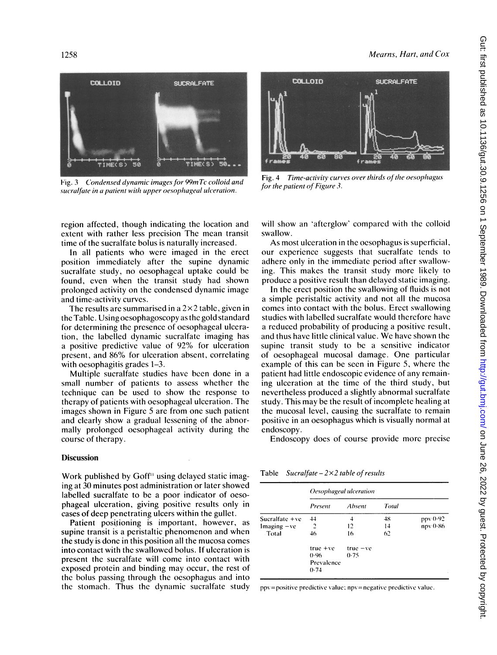#### Mearns, Hart, and Cox



Fig. 3 Condensed dynamic images for 99mTc colloid and sucralfate in a patient with upper oesophageal ulceration.

region affected, though indicating the location and extent with rather less precision The mean transit time of the sucralfate bolus is naturally increased.

In all patients who were imaged in the erect position immediately after the supine dynamic sucralfate study, no oesophageal uptake could be found, even when the transit study had shown prolonged activity on the condensed dynamic image and time-activity curves.

The results are summarised in a  $2\times 2$  table, given in the Table. Using oesophagoscopy as the gold standard for determining the presence of oesophageal ulceration, the labelled dynamic sucralfate imaging has <sup>a</sup> positive predictive value of 92% for ulceration present, and 86% for ulceration absent, correlating with oesophagitis grades 1–3.

Multiple sucralfate studies have been done in a small number of patients to assess whether the technique can be used to show the response to therapy of patients with oesophageal ulceration. The images shown in Figure 5 are from one such patient and clearly show a gradual lessening of the abnormally prolonged oesophageal activity during the course of therapy.

#### **Discussion**

Work published by  $G$ off<sup> $\mu$ </sup> using delayed static imaging at 30 minutes post administration or later showed labelled sucralfate to be a poor indicator of oesophageal ulceration, giving positive results only in cases of deep penetrating ulcers within the gullet.

Patient positioning is important, however, as supine transit is a peristaltic phenomenon and when the study is done in this position all the mucosa comes into contact with the swallowed bolus. If ulceration is present the sucralfate will come into contact with exposed protein and binding may occur, the rest of the bolus passing through the oesophagus and into the stomach. Thus the dynamic sucralfate study



Fig. 4 Time-activity curves over thirds of the oesophagus for the patient of Figure 3.

will show an 'afterglow' compared with the colloid swallow.

As most ulceration in the oesophagus is superficial, our experience suggests that sucralfate tends to adhere only in the immediate period after swallowing. This makes the transit study more likely to produce a positive result than delayed static imaging.

In the erect position the swallowing of fluids is not a simple peristaltic activity and not all the mucosa comes into contact with the bolus. Erect swallowing studies with labelled sucralfate would therefore have a reduced probability of producing a positive result, and thus have little clinical value. We have shown the supine transit study to be a sensitive indicator of oesophageal mucosal damage. One particular example of this can be seen in Figure 5, where the patient had little endoscopic evidence of any remaining ulceration at the time of the third study, but nevertheless produced a slightly abnormal sucralfate study. This may be the result of incomplete healing at the mucosal level, causing the sucralfate to remain positive in an oesophagus which is visually normal at endoscopy.

Endoscopy does of course provide more precise

Table Sucralfate  $-2 \times 2$  table of results

|                  | Oesophageal ulceration |            |       |          |
|------------------|------------------------|------------|-------|----------|
|                  | Present                | Absent     | Total |          |
| Sucralfate $+ve$ | 44                     |            | 48    | ppv 0-92 |
| $Imaging -ve$    | 2                      | 12         | 14    | npv 0-86 |
| - Total          | 46                     | 16         | 62    |          |
|                  | $true + ve$            | $true -ve$ |       |          |
|                  | (1.96)                 | 0.75       |       |          |
|                  | Prevalence<br>0.74     |            |       |          |

ppy=positive predictive value; npy=negative predictive value.